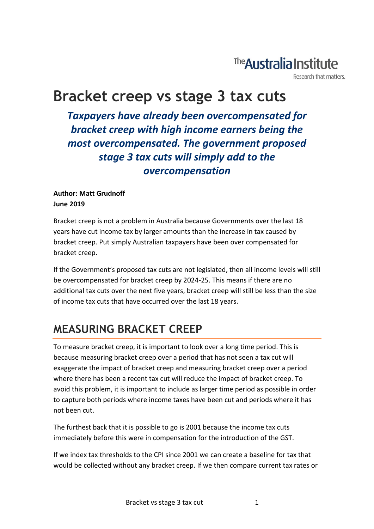## The **Australia Institute**

Research that matters.

# **Bracket creep vs stage 3 tax cuts**

*Taxpayers have already been overcompensated for bracket creep with high income earners being the most overcompensated. The government proposed stage 3 tax cuts will simply add to the overcompensation*

#### **Author: Matt Grudnoff June 2019**

Bracket creep is not a problem in Australia because Governments over the last 18 years have cut income tax by larger amounts than the increase in tax caused by bracket creep. Put simply Australian taxpayers have been over compensated for bracket creep.

If the Government's proposed tax cuts are not legislated, then all income levels will still be overcompensated for bracket creep by 2024-25. This means if there are no additional tax cuts over the next five years, bracket creep will still be less than the size of income tax cuts that have occurred over the last 18 years.

### **MEASURING BRACKET CREEP**

To measure bracket creep, it is important to look over a long time period. This is because measuring bracket creep over a period that has not seen a tax cut will exaggerate the impact of bracket creep and measuring bracket creep over a period where there has been a recent tax cut will reduce the impact of bracket creep. To avoid this problem, it is important to include as larger time period as possible in order to capture both periods where income taxes have been cut and periods where it has not been cut.

The furthest back that it is possible to go is 2001 because the income tax cuts immediately before this were in compensation for the introduction of the GST.

If we index tax thresholds to the CPI since 2001 we can create a baseline for tax that would be collected without any bracket creep. If we then compare current tax rates or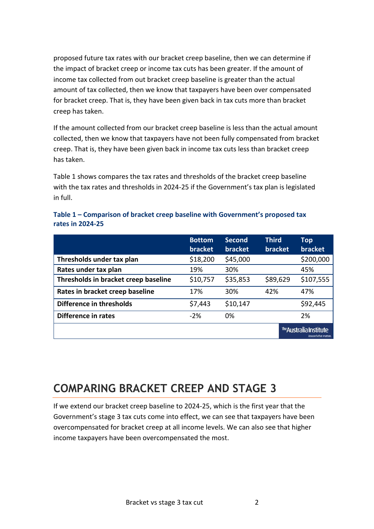proposed future tax rates with our bracket creep baseline, then we can determine if the impact of bracket creep or income tax cuts has been greater. If the amount of income tax collected from out bracket creep baseline is greater than the actual amount of tax collected, then we know that taxpayers have been over compensated for bracket creep. That is, they have been given back in tax cuts more than bracket creep has taken.

If the amount collected from our bracket creep baseline is less than the actual amount collected, then we know that taxpayers have not been fully compensated from bracket creep. That is, they have been given back in income tax cuts less than bracket creep has taken.

Table 1 shows compares the tax rates and thresholds of the bracket creep baseline with the tax rates and thresholds in 2024-25 if the Government's tax plan is legislated in full.

|                                      | <b>Bottom</b><br><b>bracket</b> | <b>Second</b><br><b>bracket</b> | <b>Third</b><br>bracket | <b>Top</b><br><b>bracket</b>                     |
|--------------------------------------|---------------------------------|---------------------------------|-------------------------|--------------------------------------------------|
| Thresholds under tax plan            | \$18,200                        | \$45,000                        |                         | \$200,000                                        |
| Rates under tax plan                 | 19%                             | 30%                             |                         | 45%                                              |
| Thresholds in bracket creep baseline | \$10,757                        | \$35,853                        | \$89,629                | \$107,555                                        |
| Rates in bracket creep baseline      | 17%                             | 30%                             | 42%                     | 47%                                              |
| Difference in thresholds             | \$7,443                         | \$10,147                        |                         | \$92,445                                         |
| Difference in rates                  | $-2%$                           | 0%                              |                         | 2%                                               |
|                                      |                                 |                                 |                         | The Australia Institute<br>Research that matters |

**Table 1 – Comparison of bracket creep baseline with Government's proposed tax rates in 2024-25** 

## **COMPARING BRACKET CREEP AND STAGE 3**

If we extend our bracket creep baseline to 2024-25, which is the first year that the Government's stage 3 tax cuts come into effect, we can see that taxpayers have been overcompensated for bracket creep at all income levels. We can also see that higher income taxpayers have been overcompensated the most.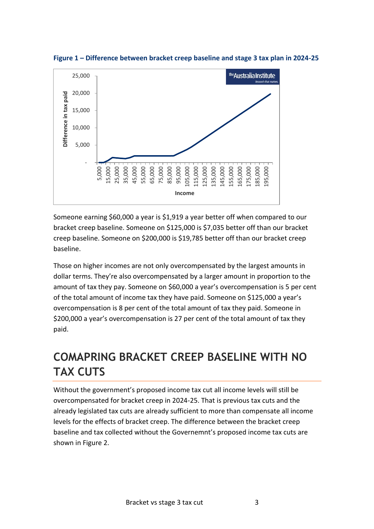

**Figure 1 – Difference between bracket creep baseline and stage 3 tax plan in 2024-25**

Someone earning \$60,000 a year is \$1,919 a year better off when compared to our bracket creep baseline. Someone on \$125,000 is \$7,035 better off than our bracket creep baseline. Someone on \$200,000 is \$19,785 better off than our bracket creep baseline.

Those on higher incomes are not only overcompensated by the largest amounts in dollar terms. They're also overcompensated by a larger amount in proportion to the amount of tax they pay. Someone on \$60,000 a year's overcompensation is 5 per cent of the total amount of income tax they have paid. Someone on \$125,000 a year's overcompensation is 8 per cent of the total amount of tax they paid. Someone in \$200,000 a year's overcompensation is 27 per cent of the total amount of tax they paid.

### **COMAPRING BRACKET CREEP BASELINE WITH NO TAX CUTS**

Without the government's proposed income tax cut all income levels will still be overcompensated for bracket creep in 2024-25. That is previous tax cuts and the already legislated tax cuts are already sufficient to more than compensate all income levels for the effects of bracket creep. The difference between the bracket creep baseline and tax collected without the Governemnt's proposed income tax cuts are shown in Figure 2.